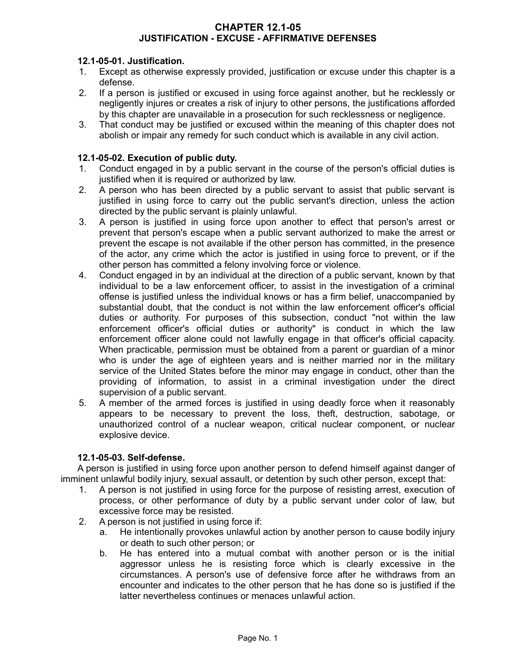#### **CHAPTER 12.1-05 JUSTIFICATION - EXCUSE - AFFIRMATIVE DEFENSES**

## **12.1-05-01. Justification.**

- 1. Except as otherwise expressly provided, justification or excuse under this chapter is a defense.
- 2. If a person is justified or excused in using force against another, but he recklessly or negligently injures or creates a risk of injury to other persons, the justifications afforded by this chapter are unavailable in a prosecution for such recklessness or negligence.
- 3. That conduct may be justified or excused within the meaning of this chapter does not abolish or impair any remedy for such conduct which is available in any civil action.

### **12.1-05-02. Execution of public duty.**

- 1. Conduct engaged in by a public servant in the course of the person's official duties is justified when it is required or authorized by law.
- 2. A person who has been directed by a public servant to assist that public servant is justified in using force to carry out the public servant's direction, unless the action directed by the public servant is plainly unlawful.
- 3. A person is justified in using force upon another to effect that person's arrest or prevent that person's escape when a public servant authorized to make the arrest or prevent the escape is not available if the other person has committed, in the presence of the actor, any crime which the actor is justified in using force to prevent, or if the other person has committed a felony involving force or violence.
- 4. Conduct engaged in by an individual at the direction of a public servant, known by that individual to be a law enforcement officer, to assist in the investigation of a criminal offense is justified unless the individual knows or has a firm belief, unaccompanied by substantial doubt, that the conduct is not within the law enforcement officer's official duties or authority. For purposes of this subsection, conduct "not within the law enforcement officer's official duties or authority" is conduct in which the law enforcement officer alone could not lawfully engage in that officer's official capacity. When practicable, permission must be obtained from a parent or guardian of a minor who is under the age of eighteen years and is neither married nor in the military service of the United States before the minor may engage in conduct, other than the providing of information, to assist in a criminal investigation under the direct supervision of a public servant.
- 5. A member of the armed forces is justified in using deadly force when it reasonably appears to be necessary to prevent the loss, theft, destruction, sabotage, or unauthorized control of a nuclear weapon, critical nuclear component, or nuclear explosive device.

#### **12.1-05-03. Self-defense.**

A person is justified in using force upon another person to defend himself against danger of imminent unlawful bodily injury, sexual assault, or detention by such other person, except that:

- 1. A person is not justified in using force for the purpose of resisting arrest, execution of process, or other performance of duty by a public servant under color of law, but excessive force may be resisted.
- 2. A person is not justified in using force if:
	- a. He intentionally provokes unlawful action by another person to cause bodily injury or death to such other person; or
	- b. He has entered into a mutual combat with another person or is the initial aggressor unless he is resisting force which is clearly excessive in the circumstances. A person's use of defensive force after he withdraws from an encounter and indicates to the other person that he has done so is justified if the latter nevertheless continues or menaces unlawful action.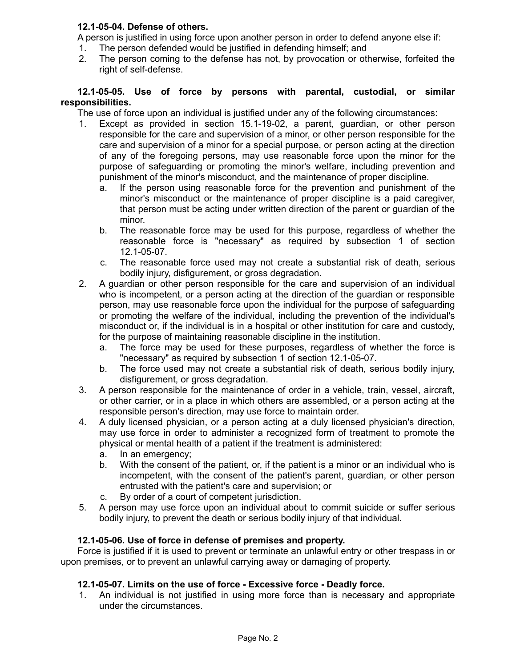## **12.1-05-04. Defense of others.**

A person is justified in using force upon another person in order to defend anyone else if:

- 1. The person defended would be justified in defending himself; and
- 2. The person coming to the defense has not, by provocation or otherwise, forfeited the right of self-defense.

#### **12.1-05-05. Use of force by persons with parental, custodial, or similar responsibilities.**

The use of force upon an individual is justified under any of the following circumstances:

- 1. Except as provided in section 15.1-19-02, a parent, guardian, or other person responsible for the care and supervision of a minor, or other person responsible for the care and supervision of a minor for a special purpose, or person acting at the direction of any of the foregoing persons, may use reasonable force upon the minor for the purpose of safeguarding or promoting the minor's welfare, including prevention and punishment of the minor's misconduct, and the maintenance of proper discipline.
	- a. If the person using reasonable force for the prevention and punishment of the minor's misconduct or the maintenance of proper discipline is a paid caregiver, that person must be acting under written direction of the parent or guardian of the minor.
	- b. The reasonable force may be used for this purpose, regardless of whether the reasonable force is "necessary" as required by subsection 1 of section 12.1-05-07.
	- c. The reasonable force used may not create a substantial risk of death, serious bodily injury, disfigurement, or gross degradation.
- 2. A guardian or other person responsible for the care and supervision of an individual who is incompetent, or a person acting at the direction of the guardian or responsible person, may use reasonable force upon the individual for the purpose of safeguarding or promoting the welfare of the individual, including the prevention of the individual's misconduct or, if the individual is in a hospital or other institution for care and custody, for the purpose of maintaining reasonable discipline in the institution.
	- a. The force may be used for these purposes, regardless of whether the force is "necessary" as required by subsection 1 of section 12.1-05-07.
	- b. The force used may not create a substantial risk of death, serious bodily injury, disfigurement, or gross degradation.
- 3. A person responsible for the maintenance of order in a vehicle, train, vessel, aircraft, or other carrier, or in a place in which others are assembled, or a person acting at the responsible person's direction, may use force to maintain order.
- 4. A duly licensed physician, or a person acting at a duly licensed physician's direction, may use force in order to administer a recognized form of treatment to promote the physical or mental health of a patient if the treatment is administered:
	- a. In an emergency;
	- b. With the consent of the patient, or, if the patient is a minor or an individual who is incompetent, with the consent of the patient's parent, guardian, or other person entrusted with the patient's care and supervision; or
	- c. By order of a court of competent jurisdiction.
- 5. A person may use force upon an individual about to commit suicide or suffer serious bodily injury, to prevent the death or serious bodily injury of that individual.

## **12.1-05-06. Use of force in defense of premises and property.**

Force is justified if it is used to prevent or terminate an unlawful entry or other trespass in or upon premises, or to prevent an unlawful carrying away or damaging of property.

## **12.1-05-07. Limits on the use of force - Excessive force - Deadly force.**

1. An individual is not justified in using more force than is necessary and appropriate under the circumstances.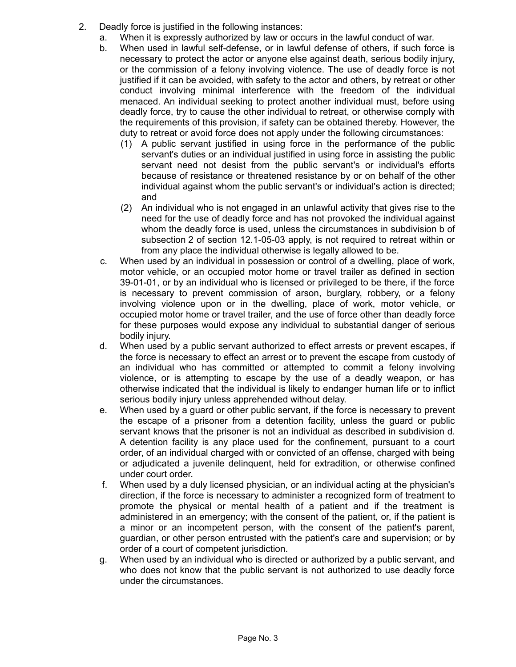- 2. Deadly force is justified in the following instances:
	- a. When it is expressly authorized by law or occurs in the lawful conduct of war.
	- b. When used in lawful self-defense, or in lawful defense of others, if such force is necessary to protect the actor or anyone else against death, serious bodily injury, or the commission of a felony involving violence. The use of deadly force is not justified if it can be avoided, with safety to the actor and others, by retreat or other conduct involving minimal interference with the freedom of the individual menaced. An individual seeking to protect another individual must, before using deadly force, try to cause the other individual to retreat, or otherwise comply with the requirements of this provision, if safety can be obtained thereby. However, the duty to retreat or avoid force does not apply under the following circumstances:
		- (1) A public servant justified in using force in the performance of the public servant's duties or an individual justified in using force in assisting the public servant need not desist from the public servant's or individual's efforts because of resistance or threatened resistance by or on behalf of the other individual against whom the public servant's or individual's action is directed; and
		- (2) An individual who is not engaged in an unlawful activity that gives rise to the need for the use of deadly force and has not provoked the individual against whom the deadly force is used, unless the circumstances in subdivision b of subsection 2 of section 12.1-05-03 apply, is not required to retreat within or from any place the individual otherwise is legally allowed to be.
	- c. When used by an individual in possession or control of a dwelling, place of work, motor vehicle, or an occupied motor home or travel trailer as defined in section 39-01-01, or by an individual who is licensed or privileged to be there, if the force is necessary to prevent commission of arson, burglary, robbery, or a felony involving violence upon or in the dwelling, place of work, motor vehicle, or occupied motor home or travel trailer, and the use of force other than deadly force for these purposes would expose any individual to substantial danger of serious bodily injury.
	- d. When used by a public servant authorized to effect arrests or prevent escapes, if the force is necessary to effect an arrest or to prevent the escape from custody of an individual who has committed or attempted to commit a felony involving violence, or is attempting to escape by the use of a deadly weapon, or has otherwise indicated that the individual is likely to endanger human life or to inflict serious bodily injury unless apprehended without delay.
	- e. When used by a guard or other public servant, if the force is necessary to prevent the escape of a prisoner from a detention facility, unless the guard or public servant knows that the prisoner is not an individual as described in subdivision d. A detention facility is any place used for the confinement, pursuant to a court order, of an individual charged with or convicted of an offense, charged with being or adjudicated a juvenile delinquent, held for extradition, or otherwise confined under court order.
	- f. When used by a duly licensed physician, or an individual acting at the physician's direction, if the force is necessary to administer a recognized form of treatment to promote the physical or mental health of a patient and if the treatment is administered in an emergency; with the consent of the patient, or, if the patient is a minor or an incompetent person, with the consent of the patient's parent, guardian, or other person entrusted with the patient's care and supervision; or by order of a court of competent jurisdiction.
	- g. When used by an individual who is directed or authorized by a public servant, and who does not know that the public servant is not authorized to use deadly force under the circumstances.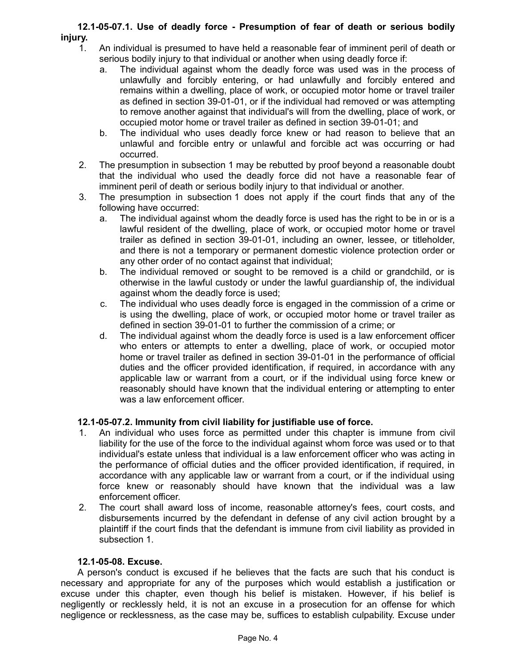## **12.1-05-07.1. Use of deadly force - Presumption of fear of death or serious bodily injury.**

- 1. An individual is presumed to have held a reasonable fear of imminent peril of death or serious bodily injury to that individual or another when using deadly force if:
	- a. The individual against whom the deadly force was used was in the process of unlawfully and forcibly entering, or had unlawfully and forcibly entered and remains within a dwelling, place of work, or occupied motor home or travel trailer as defined in section 39-01-01, or if the individual had removed or was attempting to remove another against that individual's will from the dwelling, place of work, or occupied motor home or travel trailer as defined in section 39-01-01; and
	- b. The individual who uses deadly force knew or had reason to believe that an unlawful and forcible entry or unlawful and forcible act was occurring or had occurred.
- 2. The presumption in subsection 1 may be rebutted by proof beyond a reasonable doubt that the individual who used the deadly force did not have a reasonable fear of imminent peril of death or serious bodily injury to that individual or another.
- 3. The presumption in subsection 1 does not apply if the court finds that any of the following have occurred:
	- a. The individual against whom the deadly force is used has the right to be in or is a lawful resident of the dwelling, place of work, or occupied motor home or travel trailer as defined in section 39-01-01, including an owner, lessee, or titleholder, and there is not a temporary or permanent domestic violence protection order or any other order of no contact against that individual;
	- b. The individual removed or sought to be removed is a child or grandchild, or is otherwise in the lawful custody or under the lawful guardianship of, the individual against whom the deadly force is used;
	- c. The individual who uses deadly force is engaged in the commission of a crime or is using the dwelling, place of work, or occupied motor home or travel trailer as defined in section 39-01-01 to further the commission of a crime; or
	- d. The individual against whom the deadly force is used is a law enforcement officer who enters or attempts to enter a dwelling, place of work, or occupied motor home or travel trailer as defined in section 39-01-01 in the performance of official duties and the officer provided identification, if required, in accordance with any applicable law or warrant from a court, or if the individual using force knew or reasonably should have known that the individual entering or attempting to enter was a law enforcement officer.

# **12.1-05-07.2. Immunity from civil liability for justifiable use of force.**

- 1. An individual who uses force as permitted under this chapter is immune from civil liability for the use of the force to the individual against whom force was used or to that individual's estate unless that individual is a law enforcement officer who was acting in the performance of official duties and the officer provided identification, if required, in accordance with any applicable law or warrant from a court, or if the individual using force knew or reasonably should have known that the individual was a law enforcement officer.
- 2. The court shall award loss of income, reasonable attorney's fees, court costs, and disbursements incurred by the defendant in defense of any civil action brought by a plaintiff if the court finds that the defendant is immune from civil liability as provided in subsection 1.

## **12.1-05-08. Excuse.**

A person's conduct is excused if he believes that the facts are such that his conduct is necessary and appropriate for any of the purposes which would establish a justification or excuse under this chapter, even though his belief is mistaken. However, if his belief is negligently or recklessly held, it is not an excuse in a prosecution for an offense for which negligence or recklessness, as the case may be, suffices to establish culpability. Excuse under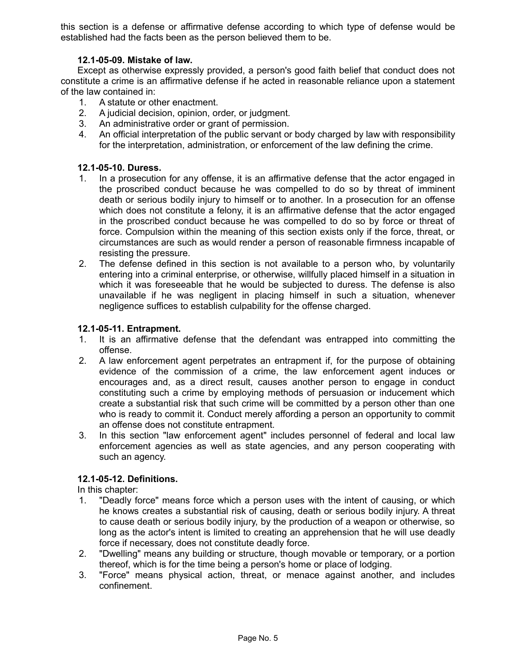this section is a defense or affirmative defense according to which type of defense would be established had the facts been as the person believed them to be.

### **12.1-05-09. Mistake of law.**

Except as otherwise expressly provided, a person's good faith belief that conduct does not constitute a crime is an affirmative defense if he acted in reasonable reliance upon a statement of the law contained in:

- 1. A statute or other enactment.
- 2. A judicial decision, opinion, order, or judgment.
- 3. An administrative order or grant of permission.
- 4. An official interpretation of the public servant or body charged by law with responsibility for the interpretation, administration, or enforcement of the law defining the crime.

#### **12.1-05-10. Duress.**

- 1. In a prosecution for any offense, it is an affirmative defense that the actor engaged in the proscribed conduct because he was compelled to do so by threat of imminent death or serious bodily injury to himself or to another. In a prosecution for an offense which does not constitute a felony, it is an affirmative defense that the actor engaged in the proscribed conduct because he was compelled to do so by force or threat of force. Compulsion within the meaning of this section exists only if the force, threat, or circumstances are such as would render a person of reasonable firmness incapable of resisting the pressure.
- 2. The defense defined in this section is not available to a person who, by voluntarily entering into a criminal enterprise, or otherwise, willfully placed himself in a situation in which it was foreseeable that he would be subjected to duress. The defense is also unavailable if he was negligent in placing himself in such a situation, whenever negligence suffices to establish culpability for the offense charged.

### **12.1-05-11. Entrapment.**

- 1. It is an affirmative defense that the defendant was entrapped into committing the offense.
- 2. A law enforcement agent perpetrates an entrapment if, for the purpose of obtaining evidence of the commission of a crime, the law enforcement agent induces or encourages and, as a direct result, causes another person to engage in conduct constituting such a crime by employing methods of persuasion or inducement which create a substantial risk that such crime will be committed by a person other than one who is ready to commit it. Conduct merely affording a person an opportunity to commit an offense does not constitute entrapment.
- 3. In this section "law enforcement agent" includes personnel of federal and local law enforcement agencies as well as state agencies, and any person cooperating with such an agency.

## **12.1-05-12. Definitions.**

In this chapter:

- 1. "Deadly force" means force which a person uses with the intent of causing, or which he knows creates a substantial risk of causing, death or serious bodily injury. A threat to cause death or serious bodily injury, by the production of a weapon or otherwise, so long as the actor's intent is limited to creating an apprehension that he will use deadly force if necessary, does not constitute deadly force.
- 2. "Dwelling" means any building or structure, though movable or temporary, or a portion thereof, which is for the time being a person's home or place of lodging.
- 3. "Force" means physical action, threat, or menace against another, and includes confinement.